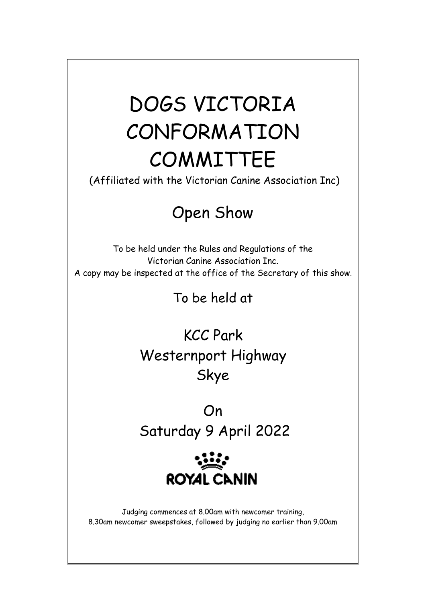# DOGS VICTORIA CONFORMATION COMMITTEE

(Affiliated with the Victorian Canine Association Inc)

# Open Show

To be held under the Rules and Regulations of the Victorian Canine Association Inc. A copy may be inspected at the office of the Secretary of this show.

To be held at

KCC Park Westernport Highway Skye

On Saturday 9 April 2022



Judging commences at 8.00am with newcomer training, 8.30am newcomer sweepstakes, followed by judging no earlier than 9.00am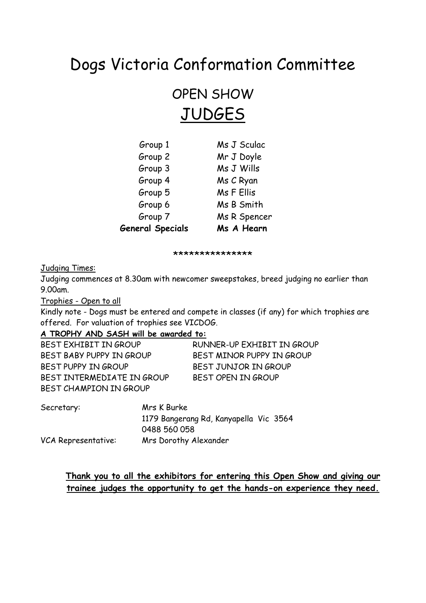# Dogs Victoria Conformation Committee

OPEN SHOW **JUDGES** 

| <b>General Specials</b> | Ms A Hearn   |
|-------------------------|--------------|
| Group 7                 | Ms R Spencer |
| Group 6                 | Ms B Smith   |
| Group 5                 | Ms F Ellis   |
| Group 4                 | Ms C Ryan    |
| Group 3                 | Ms J Wills   |
| Group 2                 | Mr J Doyle   |
| Group 1                 | Ms J Sculac  |

\*\*\*\*\*\*\*\*\*\*\*\*\*\*\*

Judging Times:

Judging commences at 8.30am with newcomer sweepstakes, breed judging no earlier than 9.00am.

Trophies - Open to all

Kindly note - Dogs must be entered and compete in classes (if any) for which trophies are offered. For valuation of trophies see VICDOG.

# **A TROPHY AND SASH will be awarded to:**

| BEST EXHIBIT IN GROUP      | RUNNER-UP EXHIBIT IN GROUP |
|----------------------------|----------------------------|
| BEST BABY PUPPY IN GROUP   | BEST MINOR PUPPY IN GROUP  |
| BEST PUPPY IN GROUP        | BEST JUNJOR IN GROUP       |
| BEST INTERMEDIATE IN GROUP | BEST OPEN IN GROUP         |
| BEST CHAMPION IN GROUP     |                            |

| Secretary:          | Mrs K Burke                            |  |  |  |
|---------------------|----------------------------------------|--|--|--|
|                     | 1179 Bangerang Rd, Kanyapella Vic 3564 |  |  |  |
|                     | 0488 560 058                           |  |  |  |
| VCA Representative: | Mrs Dorothy Alexander                  |  |  |  |

# **Thank you to all the exhibitors for entering this Open Show and giving our trainee judges the opportunity to get the hands-on experience they need.**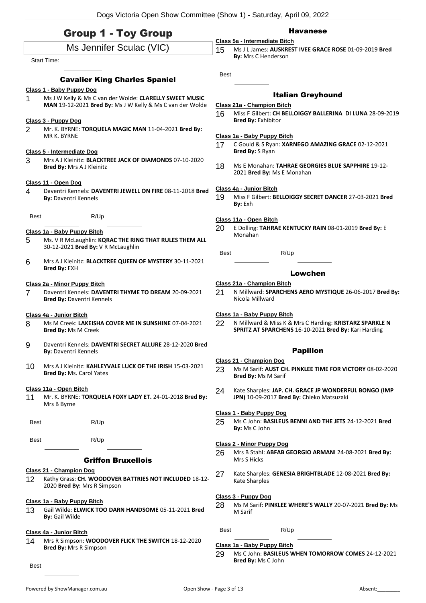# Group 1 - Toy Group

# Ms Jennifer Sculac (VIC)

### Start Time:

# Cavalier King Charles Spaniel

## **Class 1 - Baby Puppy Dog**

1 Ms J W Kelly & Ms C van der Wolde: **CLARELLY SWEET MUSIC MAN** 19-12-2021 **Bred By:** Ms J W Kelly & Ms C van der Wolde

#### **Class 3 - Puppy Dog**

2 Mr. K. BYRNE: **TORQUELA MAGIC MAN** 11-04-2021 **Bred By:** MR K. BYRNE

# **Class 5 - Intermediate Dog**

3 Mrs A J Kleinitz: **BLACKTREE JACK OF DIAMONDS** 07-10-2020 **Bred By:** Mrs A J Kleinitz

#### **Class 11 - Open Dog**

4 Daventri Kennels: **DAVENTRI JEWELL ON FIRE** 08-11-2018 **Bred By:** Daventri Kennels

Best R/Up

## **Class 1a - Baby Puppy Bitch**

- 5 Ms. V R McLaughlin: **KQRAC THE RING THAT RULES THEM ALL** 30-12-2021 **Bred By:** V R McLaughlin
- 6 Mrs A J Kleinitz: **BLACKTREE QUEEN OF MYSTERY** 30-11-2021 **Bred By:** EXH

#### **Class 2a - Minor Puppy Bitch**

7 Daventri Kennels: **DAVENTRI THYME TO DREAM** 20-09-2021 **Bred By:** Daventri Kennels

#### **Class 4a - Junior Bitch**

- 8 Ms M Creek: **LAKEISHA COVER ME IN SUNSHINE** 07-04-2021 **Bred By:** Ms M Creek
- 9 Daventri Kennels: **DAVENTRI SECRET ALLURE** 28-12-2020 **Bred By:** Daventri Kennels
- 10 Mrs A J Kleinitz: **KAHLEYVALE LUCK OF THE IRISH** 15-03-2021 **Bred By:** Ms. Carol Yates

#### **Class 11a - Open Bitch**

11 Mr. K. BYRNE: **TORQUELA FOXY LADY ET.** 24-01-2018 **Bred By:** Mrs B Byrne

Best R/Up

Best R/Up

# Griffon Bruxellois

#### **Class 21 - Champion Dog**

12 Kathy Grass: **CH. WOODOVER BATTRIES NOT INCLUDED** 18-12- 2020 **Bred By:** Mrs R Simpson

#### **Class 1a - Baby Puppy Bitch**

13 Gail Wilde: **ELWICK TOO DARN HANDSOME** 05-11-2021 **Bred By:** Gail Wilde

#### **Class 4a - Junior Bitch**

14 Mrs R Simpson: **WOODOVER FLICK THE SWITCH** 18-12-2020 **Bred By:** Mrs R Simpson

Best

# Havanese

**Class 5a - Intermediate Bitch** 15 Ms J L James: **AUSKREST IVEE GRACE ROSE** 01-09-2019 **Bred By:** Mrs C Henderson

Best

# Italian Greyhound

# **Class 21a - Champion Bitch**

16 Miss F Gilbert: **CH BELLOIGGY BALLERINA DI LUNA** 28-09-2019 **Bred By:** Exhibitor

#### **Class 1a - Baby Puppy Bitch**

- 17 C Gould & S Ryan: **XARNEGO AMAZING GRACE** 02-12-2021 **Bred By:** S Ryan
- 18 Ms E Monahan: **TAHRAE GEORGIES BLUE SAPPHIRE** 19-12- 2021 **Bred By:** Ms E Monahan

#### **Class 4a - Junior Bitch**

19 Miss F Gilbert: **BELLOIGGY SECRET DANCER** 27-03-2021 **Bred By:** Exh

# **Class 11a - Open Bitch**

20 E Dolling: **TAHRAE KENTUCKY RAIN** 08-01-2019 **Bred By:** E Monahan

Best R/Up

#### Lowchen

#### **Class 21a - Champion Bitch**

21 N Millward: **SPARCHENS AERO MYSTIQUE** 26-06-2017 **Bred By:** Nicola Millward

#### **Class 1a - Baby Puppy Bitch**

22 N Millward & Miss K & Mrs C Harding: **KRISTARZ SPARKLE N SPRITZ AT SPARCHENS** 16-10-2021 **Bred By:** Kari Harding

# Papillon

# **Class 21 - Champion Dog**

- 23 Ms M Sarif: **AUST CH. PINKLEE TIME FOR VICTORY** 08-02-2020 **Bred By:** Ms M Sarif
- 24 Kate Sharples: **JAP. CH. GRACE JP WONDERFUL BONGO (IMP JPN)** 10-09-2017 **Bred By:** Chieko Matsuzaki

## **Class 1 - Baby Puppy Dog**

25 Ms C John: **BASILEUS BENNI AND THE JETS** 24-12-2021 **Bred By:** Ms C John

#### **Class 2 - Minor Puppy Dog**

- 26 Mrs B Stahl: **ABFAB GEORGIO ARMANI** 24-08-2021 **Bred By:** Mrs S Hicks
- 27 Kate Sharples: **GENESIA BRIGHTBLADE** 12-08-2021 **Bred By:** Kate Sharples

# **Class 3 - Puppy Dog**

- 28 Ms M Sarif: **PINKLEE WHERE'S WALLY** 20-07-2021 **Bred By:** Ms M Sarif
- Best R/Up

#### **Class 1a - Baby Puppy Bitch**

29 Ms C John: **BASILEUS WHEN TOMORROW COMES** 24-12-2021 **Bred By:** Ms C John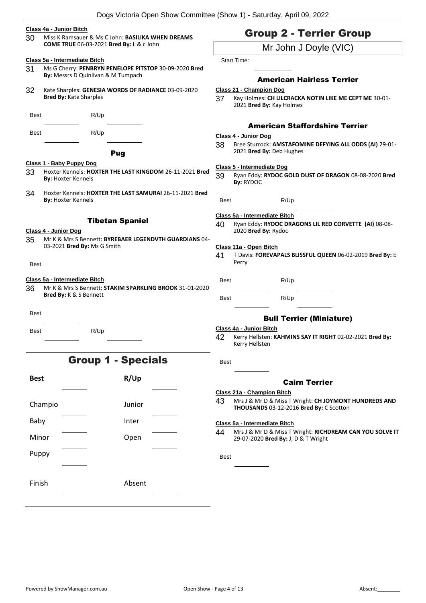## **Class 4a - Junior Bitch**

30 Miss K Ramsauer & Ms C John: **BASILIKA WHEN DREAMS COME TRUE** 06-03-2021 **Bred By:** L & c John

#### **Class 5a - Intermediate Bitch**

- 31 Ms G Cherry: **PENBRYN PENELOPE PITSTOP** 30-09-2020 **Bred By:** Messrs D Quinlivan & M Tumpach
- 32 Kate Sharples: **GENESIA WORDS OF RADIANCE** 03-09-2020 **Bred By:** Kate Sharples

Best R/Up

Best R/Up

# Pug

## **Class 1 - Baby Puppy Dog**

- 33 Hoxter Kennels: **HOXTER THE LAST KINGDOM** 26-11-2021 **Bred By:** Hoxter Kennels
- 34 Hoxter Kennels: **HOXTER THE LAST SAMURAI** 26-11-2021 **Bred By:** Hoxter Kennels

#### Tibetan Spaniel

# **Class 4 - Junior Dog**

35 Mr K & Mrs S Bennett: **BYREBAER LEGENDVTH GUARDIANS** 04- 03-2021 **Bred By:** Ms G Smith

Best

# **Class 5a - Intermediate Bitch**

36 Mr K & Mrs S Bennett: **STAKIM SPARKLING BROOK** 31-01-2020 **Bred By:** K & S Bennett

Best

Best R/Up

# Group 1 - Specials

| <b>Best</b> | R/Up   |  |
|-------------|--------|--|
|             |        |  |
| Champio     | Junior |  |
| Baby        | Inter  |  |
| Minor       | Open   |  |
| Puppy       |        |  |
|             |        |  |
| Finish      | Absent |  |
|             |        |  |

# Group 2 - Terrier Group

# Mr John J Doyle (VIC)

Start Time:

# American Hairless Terrier

- **Class 21 - Champion Dog**
- 37 Kay Holmes: **CH LILCRACKA NOTIN LIKE ME CEPT ME** 30-01- 2021 **Bred By:** Kay Holmes

# American Staffordshire Terrier

# **Class 4 - Junior Dog**

38 Bree Sturrock: **AMSTAFOMINE DEFYING ALL ODDS (AI)** 29-01- 2021 **Bred By:** Deb Hughes

# **Class 5 - Intermediate Dog**

- 39 Ryan Eddy: **RYDOC GOLD DUST OF DRAGON** 08-08-2020 **Bred By:** RYDOC
- Best R/Up

# **Class 5a - Intermediate Bitch**

40 Ryan Eddy: **RYDOC DRAGONS LIL RED CORVETTE (AI)** 08-08- 2020 **Bred By:** Rydoc

#### **Class 11a - Open Bitch**

41 T Davis: **FOREVAPALS BLISSFUL QUEEN** 06-02-2019 **Bred By:** E Perry

Best R/Up

Best R/Up

# Bull Terrier (Miniature)

#### **Class 4a - Junior Bitch**

42 Kerry Hellsten: **KAHMINS SAY IT RIGHT** 02-02-2021 **Bred By:** Kerry Hellsten

# Cairn Terrier

- **Class 21a - Champion Bitch**
- 43 Mrs J & Mr D & Miss T Wright: **CH JOYMONT HUNDREDS AND THOUSANDS** 03-12-2016 **Bred By:** C Scotton

#### **Class 5a - Intermediate Bitch**

44 Mrs J & Mr D & Miss T Wright: **RICHDREAM CAN YOU SOLVE IT** 29-07-2020 **Bred By:** J, D & T Wright

**Best**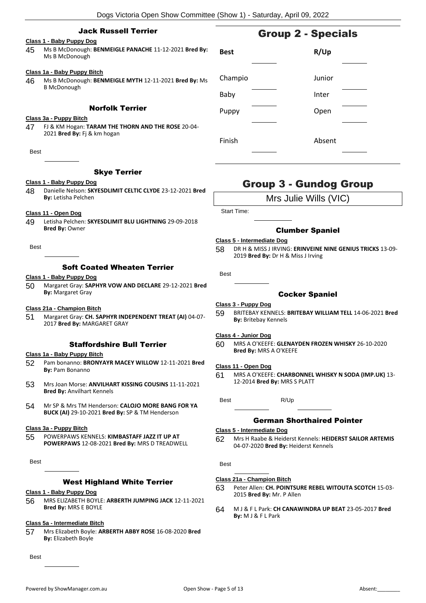# Jack Russell Terrier

# **Class 1 - Baby Puppy Dog**

45 Ms B McDonough: **BENMEIGLE PANACHE** 11-12-2021 **Bred By:** Ms B McDonough

#### **Class 1a - Baby Puppy Bitch**

46 Ms B McDonough: **BENMEIGLE MYTH** 12-11-2021 **Bred By:** Ms B McDonough

# Norfolk Terrier

#### **Class 3a - Puppy Bitch**

47 FJ & KM Hogan: **TARAM THE THORN AND THE ROSE** 20-04- 2021 **Bred By:** Fj & km hogan

**Best** 

## Skye Terrier

## **Class 1 - Baby Puppy Dog**

- 48 Danielle Nelson: **SKYESDLIMIT CELTIC CLYDE** 23-12-2021 **Bred By:** Letisha Pelchen
- **Class 11 - Open Dog**
- 49 Letisha Pelchen: **SKYESDLIMIT BLU LIGHTNING** 29-09-2018 **Bred By:** Owner

**Best** 

# Soft Coated Wheaten Terrier

# **Class 1 - Baby Puppy Dog**

50 Margaret Gray: **SAPHYR VOW AND DECLARE** 29-12-2021 **Bred By:** Margaret Gray

#### **Class 21a - Champion Bitch**

51 Margaret Gray: **CH. SAPHYR INDEPENDENT TREAT (AI)** 04-07- 2017 **Bred By:** MARGARET GRAY

# Staffordshire Bull Terrier

#### **Class 1a - Baby Puppy Bitch**

- 52 Pam bonanno: **BRONYAYR MACEY WILLOW** 12-11-2021 **Bred By:** Pam Bonanno
- 53 Mrs Joan Morse: **ANVILHART KISSING COUSINS** 11-11-2021 **Bred By:** Anvilhart Kennels
- 54 Mr SP & Mrs TM Henderson: **CALOJO MORE BANG FOR YA BUCK (AI)** 29-10-2021 **Bred By:** SP & TM Henderson

#### **Class 3a - Puppy Bitch**

55 POWERPAWS KENNELS: **KIMBASTAFF JAZZ IT UP AT POWERPAWS** 12-08-2021 **Bred By:** MRS D TREADWELL

Best

# West Highland White Terrier

#### **Class 1 - Baby Puppy Dog**

56 MRS ELIZABETH BOYLE: **ARBERTH JUMPING JACK** 12-11-2021 **Bred By:** MRS E BOYLE

#### **Class 5a - Intermediate Bitch**

57 Mrs Elizabeth Boyle: **ARBERTH ABBY ROSE** 16-08-2020 **Bred By:** Elizabeth Boyle

Best

# **Best R/Up** Champio Junior Baby Inter Puppy Dpen Finish Absent

# Group 3 - Gundog Group

Mrs Julie Wills (VIC)

Start Time:

# Clumber Spaniel

#### **Class 5 - Intermediate Dog**

58 DR H & MISS J IRVING: **ERINVEINE NINE GENIUS TRICKS** 13-09- 2019 **Bred By:** Dr H & Miss J Irving

Best

# Cocker Spaniel

#### **Class 3 - Puppy Dog**

59 BRITEBAY KENNELS: **BRITEBAY WILLIAM TELL** 14-06-2021 **Bred By:** Britebay Kennels

#### **Class 4 - Junior Dog**

60 MRS A O'KEEFE: **GLENAYDEN FROZEN WHISKY** 26-10-2020 **Bred By:** MRS A O'KEEFE

#### **Class 11 - Open Dog**

61 MRS A O'KEEFE: **CHARBONNEL WHISKY N SODA (IMP.UK)** 13- 12-2014 **Bred By:** MRS S PLATT

Best R/Up

# German Shorthaired Pointer

#### **Class 5 - Intermediate Dog**

62 Mrs H Raabe & Heiderst Kennels: **HEIDERST SAILOR ARTEMIS** 04-07-2020 **Bred By:** Heiderst Kennels

Best

#### **Class 21a - Champion Bitch**

- 63 Peter Allen: **CH. POINTSURE REBEL WITOUTA SCOTCH** 15-03- 2015 **Bred By:** Mr. P Allen
- 64 M J & F L Park: **CH CANAWINDRA UP BEAT** 23-05-2017 **Bred By:** M J & F L Park

# Group 2 - Specials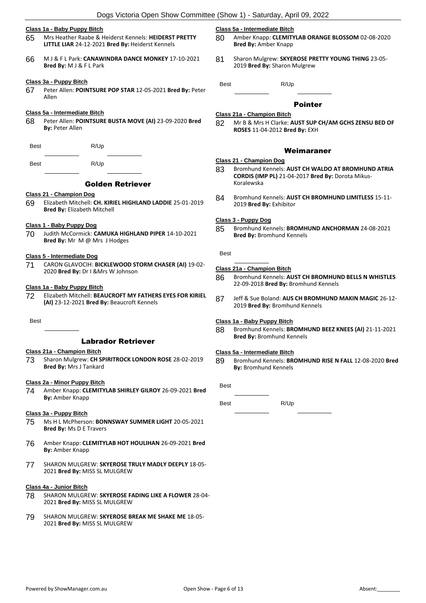#### **Class 1a - Baby Puppy Bitch**

- 65 Mrs Heather Raabe & Heiderst Kennels: **HEIDERST PRETTY LITTLE LIAR** 24-12-2021 **Bred By:** Heiderst Kennels
- 66 M J & F L Park: **CANAWINDRA DANCE MONKEY** 17-10-2021 **Bred By:** M J & F L Park

#### **Class 3a - Puppy Bitch**

67 Peter Allen: **POINTSURE POP STAR** 12-05-2021 **Bred By:** Peter Allen

## **Class 5a - Intermediate Bitch**

68 Peter Allen: **POINTSURE BUSTA MOVE (AI)** 23-09-2020 **Bred By:** Peter Allen

Best R/Up

Best R/Up

# Golden Retriever

#### **Class 21 - Champion Dog**

69 Elizabeth Mitchell: **CH. KIRIEL HIGHLAND LADDIE** 25-01-2019 **Bred By:** Elizabeth Mitchell

#### **Class 1 - Baby Puppy Dog**

70 Judith McCormick: **CAMUKA HIGHLAND PIPER** 14-10-2021 **Bred By:** Mr M @ Mrs J Hodges

#### **Class 5 - Intermediate Dog**

71 CARON GLAVOCIH: **BICKLEWOOD STORM CHASER (AI)** 19-02- 2020 **Bred By:** Dr I &Mrs W Johnson

#### **Class 1a - Baby Puppy Bitch**

72 Elizabeth Mitchell: **BEAUCROFT MY FATHERS EYES FOR KIRIEL (AI)** 23-12-2021 **Bred By:** Beaucroft Kennels

**Best** 

# Labrador Retriever

#### **Class 21a - Champion Bitch**

73 Sharon Mulgrew: **CH SPIRITROCK LONDON ROSE** 28-02-2019 **Bred By:** Mrs J Tankard

#### **Class 2a - Minor Puppy Bitch**

74 Amber Knapp: **CLEMITYLAB SHIRLEY GILROY** 26-09-2021 **Bred By:** Amber Knapp

#### **Class 3a - Puppy Bitch**

- 75 Ms H L McPherson: **BONNSWAY SUMMER LIGHT** 20-05-2021 **Bred By:** Ms D E Travers
- 76 Amber Knapp: **CLEMITYLAB HOT HOULIHAN** 26-09-2021 **Bred By:** Amber Knapp
- 77 SHARON MULGREW: **SKYEROSE TRULY MADLY DEEPLY** 18-05- 2021 **Bred By:** MISS SL MULGREW

#### **Class 4a - Junior Bitch**

- 78 SHARON MULGREW: **SKYEROSE FADING LIKE A FLOWER** 28-04- 2021 **Bred By:** MISS SL MULGREW
- 79 SHARON MULGREW: **SKYEROSE BREAK ME SHAKE ME** 18-05- 2021 **Bred By:** MISS SL MULGREW

#### **Class 5a - Intermediate Bitch**

- 80 Amber Knapp: **CLEMITYLAB ORANGE BLOSSOM** 02-08-2020 **Bred By:** Amber Knapp
- 81 Sharon Mulgrew: **SKYEROSE PRETTY YOUNG THING** 23-05- 2019 **Bred By:** Sharon Mulgrew

Best R/Up

#### Pointer

# **Class 21a - Champion Bitch**

82 Mr B & Mrs H Clarke: **AUST SUP CH/AM GCHS ZENSU BED OF ROSES** 11-04-2012 **Bred By:** EXH

# Weimaraner

#### **Class 21 - Champion Dog**

- 83 Bromhund Kennels: **AUST CH WALDO AT BROMHUND ATRIA CORDIS (IMP PL)** 21-04-2017 **Bred By:** Dorota Mikus-Koralewska
- 84 Bromhund Kennels: **AUST CH BROMHUND LIMITLESS** 15-11- 2019 **Bred By:** Exhibitor

#### **Class 3 - Puppy Dog**

85 Bromhund Kennels: **BROMHUND ANCHORMAN** 24-08-2021 **Bred By:** Bromhund Kennels

# Best

#### **Class 21a - Champion Bitch**

- 86 Bromhund Kennels: **AUST CH BROMHUND BELLS N WHISTLES** 22-09-2018 **Bred By:** Bromhund Kennels
- 87 Jeff & Sue Boland: **AUS CH BROMHUND MAKIN MAGIC** 26-12- 2019 **Bred By:** Bromhund Kennels

#### **Class 1a - Baby Puppy Bitch**

88 Bromhund Kennels: **BROMHUND BEEZ KNEES (AI)** 21-11-2021 **Bred By:** Bromhund Kennels

#### **Class 5a - Intermediate Bitch**

89 Bromhund Kennels: **BROMHUND RISE N FALL** 12-08-2020 **Bred By:** Bromhund Kennels

**Best** 

Best R/Up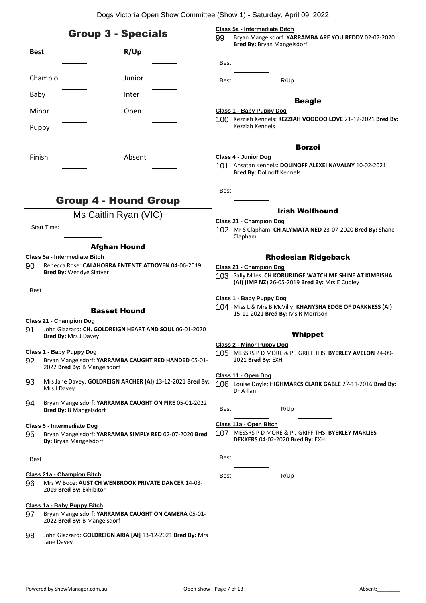|             |                    | Class 5a - Intermediate Bitch<br><b>Group 3 - Specials</b><br>99                      |  | Bryan Mangelsdorf: YARRAMBA ARE YOU REDDY 02-07-2020                                            |                                                                                                            |  |
|-------------|--------------------|---------------------------------------------------------------------------------------|--|-------------------------------------------------------------------------------------------------|------------------------------------------------------------------------------------------------------------|--|
| <b>Best</b> |                    | R/Up                                                                                  |  | <b>Bred By: Bryan Mangelsdorf</b>                                                               |                                                                                                            |  |
|             |                    |                                                                                       |  | <b>Best</b>                                                                                     |                                                                                                            |  |
|             | Champio            | Junior                                                                                |  | Best                                                                                            | R/Up                                                                                                       |  |
| Baby        |                    | Inter                                                                                 |  |                                                                                                 | <b>Beagle</b>                                                                                              |  |
| Minor       |                    | Open                                                                                  |  |                                                                                                 | Class 1 - Baby Puppy Dog                                                                                   |  |
| Puppy       |                    |                                                                                       |  |                                                                                                 | 100 Kezziah Kennels: KEZZIAH VOODOO LOVE 21-12-2021 Bred By:<br>Kezziah Kennels                            |  |
|             |                    |                                                                                       |  |                                                                                                 | <b>Borzoi</b>                                                                                              |  |
| Finish      |                    | Absent                                                                                |  |                                                                                                 | Class 4 - Junior Dog                                                                                       |  |
|             |                    |                                                                                       |  |                                                                                                 | 101 Ahsatan Kennels: DOLINOFF ALEXEI NAVALNY 10-02-2021<br><b>Bred By: Dolinoff Kennels</b>                |  |
|             |                    |                                                                                       |  | <b>Best</b>                                                                                     |                                                                                                            |  |
|             |                    | <b>Group 4 - Hound Group</b>                                                          |  |                                                                                                 | <b>Irish Wolfhound</b>                                                                                     |  |
|             |                    | Ms Caitlin Ryan (VIC)                                                                 |  |                                                                                                 | Class 21 - Champion Dog                                                                                    |  |
|             | <b>Start Time:</b> |                                                                                       |  |                                                                                                 | 102 Mr S Clapham: CH ALYMATA NED 23-07-2020 Bred By: Shane<br>Clapham                                      |  |
|             |                    | <b>Afghan Hound</b>                                                                   |  |                                                                                                 |                                                                                                            |  |
|             |                    | Class 5a - Intermediate Bitch                                                         |  |                                                                                                 | <b>Rhodesian Ridgeback</b>                                                                                 |  |
| 90          |                    | Rebecca Rose: CALAHORRA ENTENTE ATDOYEN 04-06-2019<br><b>Bred By: Wendye Slatyer</b>  |  |                                                                                                 | Class 21 - Champion Dog                                                                                    |  |
|             |                    |                                                                                       |  |                                                                                                 | 103 Sally Miles: CH KORURIDGE WATCH ME SHINE AT KIMBISHA<br>(AI) (IMP NZ) 26-05-2019 Bred By: Mrs E Cubley |  |
| <b>Best</b> |                    |                                                                                       |  |                                                                                                 | Class 1 - Baby Puppy Dog                                                                                   |  |
|             |                    | <b>Basset Hound</b>                                                                   |  | 104 Miss L & Mrs B McVilly: KHANYSHA EDGE OF DARKNESS (AI)<br>15-11-2021 Bred By: Ms R Morrison |                                                                                                            |  |
|             |                    | Class 21 - Champion Dog                                                               |  |                                                                                                 |                                                                                                            |  |
| 91          |                    | John Glazzard: CH. GOLDREIGN HEART AND SOUL 06-01-2020<br><b>Bred By: Mrs J Davey</b> |  |                                                                                                 | Whippet                                                                                                    |  |
|             |                    | Class 1 - Baby Puppy Dog                                                              |  |                                                                                                 | Class 2 - Minor Puppy Dog                                                                                  |  |
| 92          |                    | Bryan Mangelsdorf: YARRAMBA CAUGHT RED HANDED 05-01-<br>2022 Bred By: B Mangelsdorf   |  |                                                                                                 | 105 MESSRS P D MORE & P J GRIFFITHS: BYERLEY AVELON 24-09-<br>2021 Bred By: EXH                            |  |
|             |                    |                                                                                       |  |                                                                                                 | Class 11 - Open Dog                                                                                        |  |
| 93          | Mrs J Davey        | Mrs Jane Davey: GOLDREIGN ARCHER (AI) 13-12-2021 Bred By:                             |  |                                                                                                 | 106 Louise Doyle: HIGHMARCS CLARK GABLE 27-11-2016 Bred By:<br>Dr A Tan                                    |  |
| 94          |                    | Bryan Mangelsdorf: YARRAMBA CAUGHT ON FIRE 05-01-2022<br>Bred By: B Mangelsdorf       |  | Best                                                                                            | R/Up                                                                                                       |  |
|             |                    | Class 5 - Intermediate Dog                                                            |  |                                                                                                 | Class 11a - Open Bitch                                                                                     |  |
| 95          |                    | Bryan Mangelsdorf: YARRAMBA SIMPLY RED 02-07-2020 Bred<br>By: Bryan Mangelsdorf       |  |                                                                                                 | 107 MESSRS P D MORE & P J GRIFFITHS: BYERLEY MARLIES<br>DEKKERS 04-02-2020 Bred By: EXH                    |  |
| Best        |                    |                                                                                       |  | <b>Best</b>                                                                                     |                                                                                                            |  |
|             |                    | Class 21a - Champion Bitch                                                            |  | Best                                                                                            | R/Up                                                                                                       |  |
| 96          |                    | Mrs W Boce: AUST CH WENBROOK PRIVATE DANCER 14-03-<br>2019 Bred By: Exhibitor         |  |                                                                                                 |                                                                                                            |  |
|             |                    | Class 1a - Baby Puppy Bitch                                                           |  |                                                                                                 |                                                                                                            |  |
| 97          |                    | Bryan Mangelsdorf: YARRAMBA CAUGHT ON CAMERA 05-01-<br>2022 Bred By: B Mangelsdorf    |  |                                                                                                 |                                                                                                            |  |
| 98          | Jane Davey         | John Glazzard: GOLDREIGN ARIA [AI] 13-12-2021 Bred By: Mrs                            |  |                                                                                                 |                                                                                                            |  |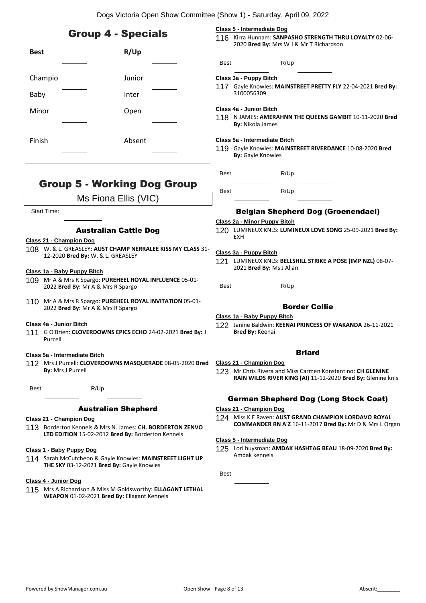|                           |                                                                                                                                           |                                                                                                                                  |                                                                                           | Dogs Victoria Open Show Committee (Show 1) - Saturday, April 09, 2022                                                                                 |
|---------------------------|-------------------------------------------------------------------------------------------------------------------------------------------|----------------------------------------------------------------------------------------------------------------------------------|-------------------------------------------------------------------------------------------|-------------------------------------------------------------------------------------------------------------------------------------------------------|
| <b>Group 4 - Specials</b> |                                                                                                                                           | Class 5 - Intermediate Dog<br>116 Kirra Hunnam: SANPASHO STRENGTH THRU LOYALTY 02-06-<br>2020 Bred By: Mrs W J & Mr T Richardson |                                                                                           |                                                                                                                                                       |
| <b>Best</b>               | R/Up                                                                                                                                      |                                                                                                                                  | Best                                                                                      | R/Up                                                                                                                                                  |
|                           |                                                                                                                                           |                                                                                                                                  |                                                                                           |                                                                                                                                                       |
| Champio                   | Junior                                                                                                                                    |                                                                                                                                  |                                                                                           | Class 3a - Puppy Bitch<br>117 Gayle Knowles: MAINSTREET PRETTY FLY 22-04-2021 Bred By:                                                                |
| Baby                      | Inter                                                                                                                                     |                                                                                                                                  |                                                                                           | 3100056309                                                                                                                                            |
| Minor                     | Open                                                                                                                                      |                                                                                                                                  |                                                                                           | Class 4a - Junior Bitch<br>118 N JAMES: AMERAHNN THE QUEENS GAMBIT 10-11-2020 Bred<br><b>By: Nikola James</b>                                         |
| Finish                    | Absent                                                                                                                                    |                                                                                                                                  |                                                                                           | Class 5a - Intermediate Bitch<br>119 Gayle Knowles: MAINSTREET RIVERDANCE 10-08-2020 Bred<br><b>By: Gayle Knowles</b>                                 |
|                           |                                                                                                                                           |                                                                                                                                  | <b>Best</b>                                                                               | R/Up                                                                                                                                                  |
|                           | <b>Group 5 - Working Dog Group</b>                                                                                                        |                                                                                                                                  | <b>Best</b>                                                                               | R/Up                                                                                                                                                  |
|                           | Ms Fiona Ellis (VIC)                                                                                                                      |                                                                                                                                  |                                                                                           |                                                                                                                                                       |
|                           | <b>Start Time:</b>                                                                                                                        |                                                                                                                                  |                                                                                           | <b>Belgian Shepherd Dog (Groenendael)</b>                                                                                                             |
|                           | <b>Australian Cattle Dog</b>                                                                                                              |                                                                                                                                  | Class 2a - Minor Puppy Bitch<br>120 LUMINEUX KNLS: LUMINEUX LOVE SONG 25-09-2021 Bred By: |                                                                                                                                                       |
|                           | Class 21 - Champion Dog                                                                                                                   |                                                                                                                                  |                                                                                           | <b>EXH</b>                                                                                                                                            |
|                           | 108 W. & L. GREASLEY: AUST CHAMP NERRALEE KISS MY CLASS 31-<br>12-2020 Bred By: W. & L. GREASLEY                                          |                                                                                                                                  |                                                                                           | Class 3a - Puppy Bitch<br>121 LUMINEUX KNLS: BELLSHILL STRIKE A POSE (IMP NZL) 08-07-<br>2021 Bred By: Ms J Allan                                     |
|                           | Class 1a - Baby Puppy Bitch<br>109 Mr A & Mrs R Spargo: PUREHEEL ROYAL INFLUENCE 05-01-<br>2022 Bred By: Mr A & Mrs R Spargo              |                                                                                                                                  | <b>Best</b>                                                                               | R/Up                                                                                                                                                  |
|                           | 110 Mr A & Mrs R Spargo: PUREHEEL ROYAL INVITATION 05-01-<br>2022 Bred By: Mr A & Mrs R Spargo                                            |                                                                                                                                  |                                                                                           | <b>Border Collie</b>                                                                                                                                  |
|                           | Class 4a - Junior Bitch                                                                                                                   |                                                                                                                                  |                                                                                           | Class 1a - Baby Puppy Bitch                                                                                                                           |
|                           | 111 G O'Brien: CLOVERDOWNS EPICS ECHO 24-02-2021 Bred By: J<br>Purcell                                                                    |                                                                                                                                  |                                                                                           | 122 Janine Baldwin: KEENAI PRINCESS OF WAKANDA 26-11-2021<br><b>Bred By: Keenai</b>                                                                   |
|                           | Class 5a - Intermediate Bitch                                                                                                             |                                                                                                                                  |                                                                                           | <b>Briard</b>                                                                                                                                         |
|                           | 112 Mrs J Purcell: CLOVERDOWNS MASQUERADE 08-05-2020 Bred<br><b>By: Mrs J Purcell</b>                                                     |                                                                                                                                  |                                                                                           | Class 21 - Champion Dog<br>123 Mr Chris Rivera and Miss Carmen Konstantino: CH GLENINE<br>RAIN WILDS RIVER KING (AI) 11-12-2020 Bred By: Glenine knls |
| Best                      | R/Up                                                                                                                                      |                                                                                                                                  |                                                                                           |                                                                                                                                                       |
|                           |                                                                                                                                           |                                                                                                                                  |                                                                                           | <b>German Shepherd Dog (Long Stock Coat)</b>                                                                                                          |
|                           | <b>Australian Shepherd</b>                                                                                                                |                                                                                                                                  |                                                                                           | Class 21 - Champion Dog                                                                                                                               |
|                           | Class 21 - Champion Dog<br>113 Borderton Kennels & Mrs N. James: CH. BORDERTON ZENVO<br>LTD EDITION 15-02-2012 Bred By: Borderton Kennels |                                                                                                                                  |                                                                                           | 124 Miss K E Raven: AUST GRAND CHAMPION LORDAVO ROYAL<br>COMMANDER RN A'Z 16-11-2017 Bred By: Mr D & Mrs L Organ                                      |
|                           | Class 5 - Intermediate Dog                                                                                                                |                                                                                                                                  |                                                                                           |                                                                                                                                                       |
|                           | Class 1 - Baby Puppy Dog<br>114 Sarah McCutcheon & Gayle Knowles: MAINSTREET LIGHT UP<br>THE SKY 03-12-2021 Bred By: Gayle Knowles        |                                                                                                                                  |                                                                                           | 125 Lori huysman: AMDAK HASHTAG BEAU 18-09-2020 Bred By:<br>Amdak kennels                                                                             |
|                           |                                                                                                                                           |                                                                                                                                  | <b>Best</b>                                                                               |                                                                                                                                                       |
|                           | Class 4 - Junior Dog                                                                                                                      |                                                                                                                                  |                                                                                           |                                                                                                                                                       |
|                           | 115 Mrs A Richardson & Miss M Goldsworthy: ELLAGANT LETHAL<br>WEAPON 01-02-2021 Bred By: Ellagant Kennels                                 |                                                                                                                                  |                                                                                           |                                                                                                                                                       |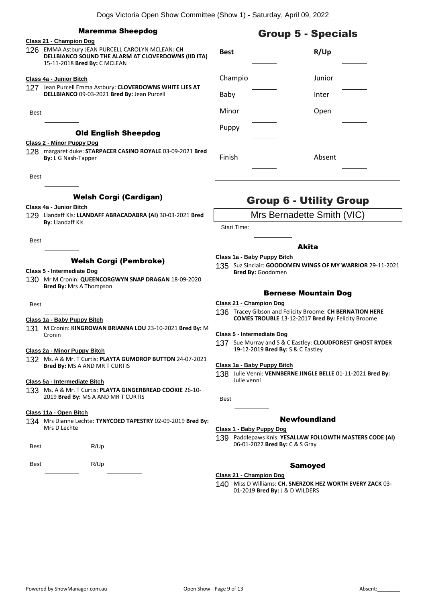# Maremma Sheepdog

# **Class 21 - Champion Dog**

126 EMMA Astbury JEAN PURCELL CAROLYN MCLEAN: **CH DELLBIANCO SOUND THE ALARM AT CLOVERDOWNS (IID ITA)** 15-11-2018 **Bred By:** C MCLEAN

## **Class 4a - Junior Bitch**

- 127 Jean Purcell Emma Astbury: **CLOVERDOWNS WHITE LIES AT DELLBIANCO** 09-03-2021 **Bred By:** Jean Purcell
- Best

# Old English Sheepdog

# **Class 2 - Minor Puppy Dog**

128 margaret duke: **STARPACER CASINO ROYALE** 03-09-2021 **Bred By:** L G Nash-Tapper

Best

# Welsh Corgi (Cardigan)

# **Class 4a - Junior Bitch**

129 Llandaff Kls: **LLANDAFF ABRACADABRA (AI)** 30-03-2021 **Bred By:** Llandaff Kls

Best

# Welsh Corgi (Pembroke)

#### **Class 5 - Intermediate Dog**

130 Mr M Cronin: **QUEENCORGWYN SNAP DRAGAN** 18-09-2020 **Bred By:** Mrs A Thompson

**Root** 

# **Class 1a - Baby Puppy Bitch**

131 M Cronin: **KINGROWAN BRIANNA LOU** 23-10-2021 **Bred By:** M Cronin

#### **Class 2a - Minor Puppy Bitch**

132 Ms. A & Mr. T Curtis: **PLAYTA GUMDROP BUTTON** 24-07-2021 **Bred By:** MS A AND MR T CURTIS

#### **Class 5a - Intermediate Bitch**

133 Ms. A & Mr. T Curtis: **PLAYTA GINGERBREAD COOKIE** 26-10- 2019 **Bred By:** MS A AND MR T CURTIS

### **Class 11a - Open Bitch**

134 Mrs Dianne Lechte: **TYNYCOED TAPESTRY** 02-09-2019 **Bred By:** Mrs D Lechte

| <b>Best</b> | R/Up |
|-------------|------|
|-------------|------|

Best R/Up

**Best R/Up** Champio Junior Baby Inter Minor Open Puppy Finish Absent

# Group 6 - Utility Group

Mrs Bernadette Smith (VIC)

Start Time:

# Akita

#### **Class 1a - Baby Puppy Bitch**

135 Suz Sinclair: **GOODOMEN WINGS OF MY WARRIOR** 29-11-2021 **Bred By:** Goodomen

# Bernese Mountain Dog

## **Class 21 - Champion Dog**

136 Tracey Gibson and Felicity Broome: **CH BERNATION HERE COMES TROUBLE** 13-12-2017 **Bred By:** Felicity Broome

#### **Class 5 - Intermediate Dog**

137 Sue Murray and S & C Eastley: **CLOUDFOREST GHOST RYDER** 19-12-2019 **Bred By:** S & C Eastley

# **Class 1a - Baby Puppy Bitch**

138 Julie Venni: **VENNBERNE JINGLE BELLE** 01-11-2021 **Bred By:** Julie venni

Best

# Newfoundland

#### **Class 1 - Baby Puppy Dog**

139 Paddlepaws Knls: **YESALLAW FOLLOWTH MASTERS CODE (AI)** 06-01-2022 **Bred By:** C & S Gray

# Samoyed

# **Class 21 - Champion Dog**

140 Miss D Williams: **CH. SNERZOK HEZ WORTH EVERY ZACK** 03- 01-2019 **Bred By:** J & D WILDERS

Group 5 - Specials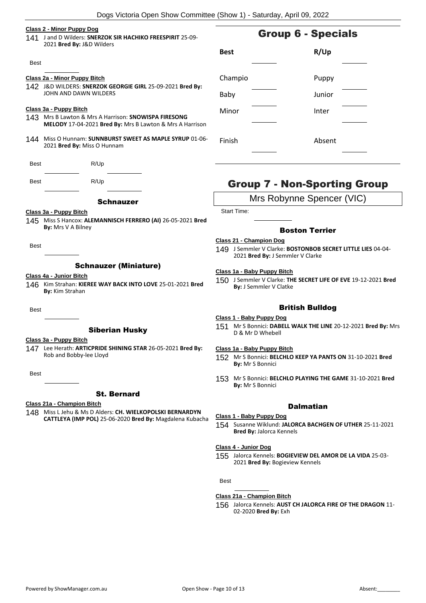#### **Class 2 - Minor Puppy Dog**

141 J and D Wilders: **SNERZOK SIR HACHIKO FREESPIRIT** 25-09- 2021 **Bred By:** J&D Wilders

#### Best

# **Class 2a - Minor Puppy Bitch**

142 J&D WILDERS: **SNERZOK GEORGIE GIRL** 25-09-2021 **Bred By:** JOHN AND DAWN WILDERS

### **Class 3a - Puppy Bitch**

- 143 Mrs B Lawton & Mrs A Harrison: **SNOWISPA FIRESONG MELODY** 17-04-2021 **Bred By:** Mrs B Lawton & Mrs A Harrison
- 144 Miss O Hunnam: **SUNNBURST SWEET AS MAPLE SYRUP** 01-06- 2021 **Bred By:** Miss O Hunnam

| <b>Best</b> | R/Up |  |
|-------------|------|--|
|             |      |  |

Best R/Up

# **Schnauzer**

#### **Class 3a - Puppy Bitch**

145 Miss S Hancox: **ALEMANNISCH FERRERO (AI)** 26-05-2021 **Bred By:** Mrs V A Bilney

Best

# Schnauzer (Miniature)

#### **Class 4a - Junior Bitch**

146 Kim Strahan: **KIEREE WAY BACK INTO LOVE** 25-01-2021 **Bred By:** Kim Strahan

Best

# Siberian Husky

# **Class 3a - Puppy Bitch**

147 Lee Herath: **ARTICPRIDE SHINING STAR** 26-05-2021 **Bred By:** Rob and Bobby-lee Lloyd

Best

# St. Bernard

# **Class 21a - Champion Bitch**

148 Miss L Jehu & Ms D Alders: **CH. WIELKOPOLSKI BERNARDYN CATTLEYA (IMP POL)** 25-06-2020 **Bred By:** Magdalena Kubacha

# **Best R/Up** Champio Puppy

Baby Junior Minor Inter

Finish Absent

# Group 7 - Non-Sporting Group

# Mrs Robynne Spencer (VIC)

Start Time:

# Boston Terrier

# **Class 21 - Champion Dog**

149 J Semmler V Clarke: **BOSTONBOB SECRET LITTLE LIES** 04-04- 2021 **Bred By:** J Semmler V Clarke

#### **Class 1a - Baby Puppy Bitch**

150 J Semmler V Clarke: **THE SECRET LIFE OF EVE** 19-12-2021 **Bred By:** J Semmler V Clatke

# British Bulldog

# **Class 1 - Baby Puppy Dog**

151 Mr S Bonnici: **DABELL WALK THE LINE** 20-12-2021 **Bred By:** Mrs D & Mr D Whebell

# **Class 1a - Baby Puppy Bitch**

- 152 Mr S Bonnici: **BELCHLO KEEP YA PANTS ON** 31-10-2021 **Bred By:** Mr S Bonnici
- 153 Mr S Bonnici: **BELCHLO PLAYING THE GAME** 31-10-2021 **Bred By:** Mr S Bonnici

# **Dalmatian**

## **Class 1 - Baby Puppy Dog**

154 Susanne Wiklund: **JALORCA BACHGEN OF UTHER** 25-11-2021 **Bred By:** Jalorca Kennels

#### **Class 4 - Junior Dog**

155 Jalorca Kennels: **BOGIEVIEW DEL AMOR DE LA VIDA** 25-03- 2021 **Bred By:** Bogieview Kennels

Best

# **Class 21a - Champion Bitch**

156 Jalorca Kennels: **AUST CH JALORCA FIRE OF THE DRAGON** 11- 02-2020 **Bred By:** Exh

# Group 6 - Specials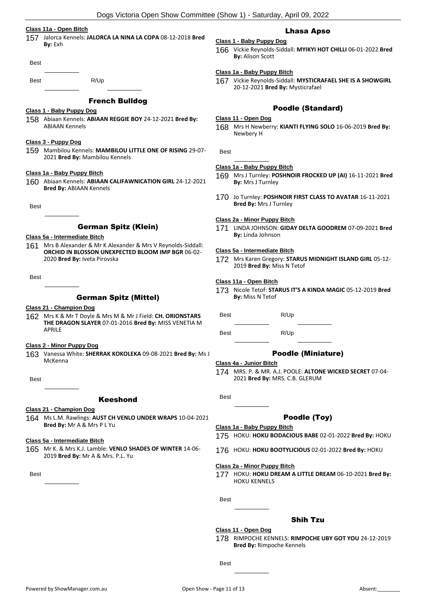#### **Class 11a - Open Bitch**

157 Jalorca Kennels: **JALORCA LA NINA LA COPA** 08-12-2018 **Bred By:** Exh

| Best |  |
|------|--|
|      |  |

Best R/Up

# French Bulldog

# **Class 1 - Baby Puppy Dog**

158 Abiaan Kennels: **ABIAAN REGGIE BOY** 24-12-2021 **Bred By:** ABIAAN Kennels

#### **Class 3 - Puppy Dog**

159 Mambilou Kennels: **MAMBILOU LITTLE ONE OF RISING** 29-07- 2021 **Bred By:** Mambilou Kennels

#### **Class 1a - Baby Puppy Bitch**

160 Abiaan Kennels: **ABIAAN CALIFAWNICATION GIRL** 24-12-2021 **Bred By:** ABIAAN Kennels

Best

# German Spitz (Klein)

#### **Class 5a - Intermediate Bitch**

161 Mrs B Alexander & Mr K Alexander & Mrs V Reynolds-Siddall: **ORCHID IN BLOSSON UNEXPECTED BLOOM IMP BGR** 06-02- 2020 **Bred By:** Iveta Pirovska

Best

# German Spitz (Mittel)

#### **Class 21 - Champion Dog**

162 Mrs K & Mr T Doyle & Mrs M & Mr J Field: **CH. ORIONSTARS THE DRAGON SLAYER** 07-01-2016 **Bred By:** MISS VENETIA M APRILE

#### **Class 2 - Minor Puppy Dog**

163 Vanessa White: **SHERRAK KOKOLEKA** 09-08-2021 **Bred By:** Ms J McKenna

Best

#### Keeshond

#### **Class 21 - Champion Dog**

164 Ms L.M. Rawlings: **AUST CH VENLO UNDER WRAPS** 10-04-2021 **Bred By:** Mr A & Mrs P L Yu

**Class 5a - Intermediate Bitch**

165 Mr K. & Mrs K.J. Lamble: **VENLO SHADES OF WINTER** 14-06- 2019 **Bred By:** Mr A & Mrs. P.L. Yu

**Best** 

# Lhasa Apso

**Class 1 - Baby Puppy Dog** 166 Vickie Reynolds-Siddall: **MYIKYI HOT CHILLI** 06-01-2022 **Bred By:** Alison Scott

#### **Class 1a - Baby Puppy Bitch**

167 Vickie Reynolds-Siddall: **MYSTICRAFAEL SHE IS A SHOWGIRL** 20-12-2021 **Bred By:** Mysticrafael

# Poodle (Standard)

#### **Class 11 - Open Dog**

168 Mrs H Newberry: **KIANTI FLYING SOLO** 16-06-2019 **Bred By:** Newbery H

Best

## **Class 1a - Baby Puppy Bitch**

- 169 Mrs J Turnley: **POSHNOIR FROCKED UP (AI)** 16-11-2021 **Bred By:** Mrs J Turnley
- 170 Jo Turnley: **POSHNOIR FIRST CLASS TO AVATAR** 16-11-2021 **Bred By:** Mrs J Turnley

#### **Class 2a - Minor Puppy Bitch**

171 LINDA JOHNSON: **GIDAY DELTA GOODREM** 07-09-2021 **Bred By:** Linda Johnson

#### **Class 5a - Intermediate Bitch**

172 Mrs Karen Gregory: **STARUS MIDNIGHT ISLAND GIRL** 05-12- 2019 **Bred By:** Miss N Tetof

#### **Class 11a - Open Bitch**

173 Nicole Tetof: **STARUS IT'S A KINDA MAGIC** 05-12-2019 **Bred By:** Miss N Tetof

Best R/Up

Best R/Up

# Poodle (Miniature)

#### **Class 4a - Junior Bitch**

174 MRS. P. & MR. A.J. POOLE: **ALTONE WICKED SECRET** 07-04- 2021 **Bred By:** MRS. C.B. GLERUM

Best

# Poodle (Toy)

#### **Class 1a - Baby Puppy Bitch**

- 175 HOKU: **HOKU BODACIOUS BABE** 02-01-2022 **Bred By:** HOKU
- 176 HOKU: **HOKU BOOTYLICIOUS** 02-01-2022 **Bred By:** HOKU

#### **Class 2a - Minor Puppy Bitch**

177 HOKU: **HOKU DREAM A LITTLE DREAM** 06-10-2021 **Bred By:** HOKU KENNELS

Best

# Shih Tzu

#### **Class 11 - Open Dog**

178 RIMPOCHE KENNELS: **RIMPOCHE UBY GOT YOU** 24-12-2019 **Bred By:** Rimpoche Kennels

**Best**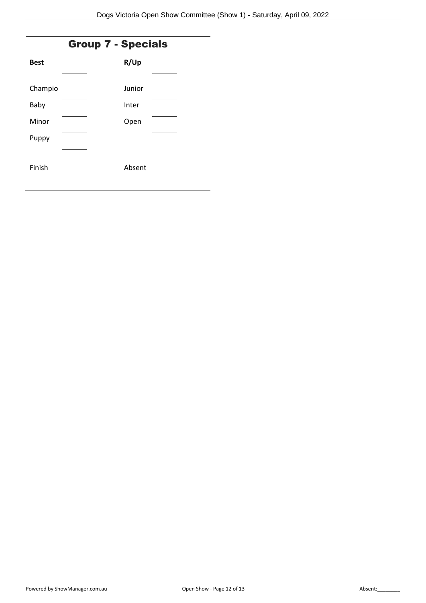# Group 7 - Specials

| <b>Best</b> | R/Up   |  |
|-------------|--------|--|
|             |        |  |
| Champio     | Junior |  |
| Baby        | Inter  |  |
| Minor       | Open   |  |
| Puppy       |        |  |
|             |        |  |
| Finish      | Absent |  |
|             |        |  |